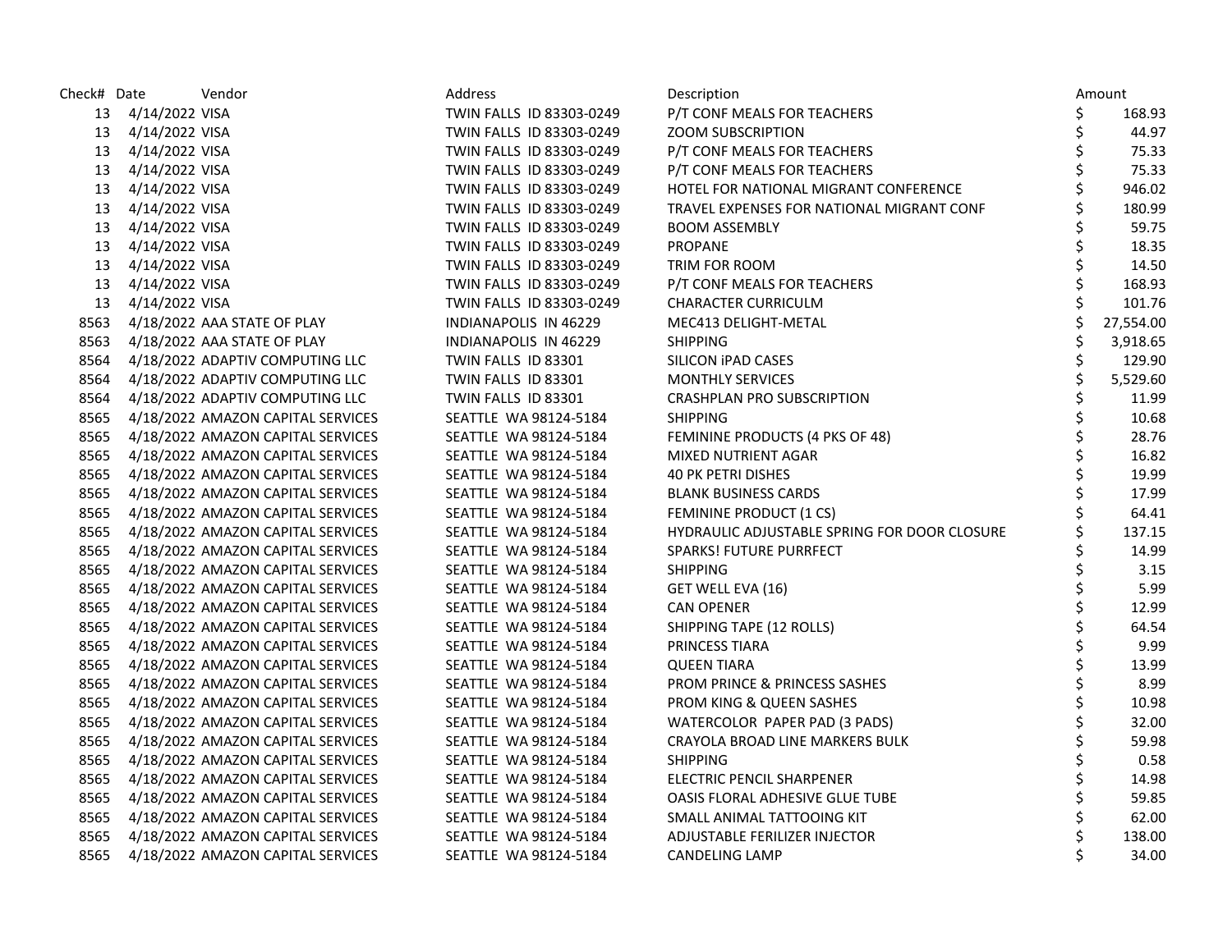| Check# Date | Vendor                                 | Address                  | Description                                  |    | Amount    |
|-------------|----------------------------------------|--------------------------|----------------------------------------------|----|-----------|
|             | 13 4/14/2022 VISA                      | TWIN FALLS ID 83303-0249 | P/T CONF MEALS FOR TEACHERS                  | \$ | 168.93    |
|             | 13 4/14/2022 VISA                      | TWIN FALLS ID 83303-0249 | <b>ZOOM SUBSCRIPTION</b>                     | \$ | 44.97     |
| 13          | 4/14/2022 VISA                         | TWIN FALLS ID 83303-0249 | P/T CONF MEALS FOR TEACHERS                  | \$ | 75.33     |
| 13          | 4/14/2022 VISA                         | TWIN FALLS ID 83303-0249 | P/T CONF MEALS FOR TEACHERS                  | \$ | 75.33     |
|             | 13 4/14/2022 VISA                      | TWIN FALLS ID 83303-0249 | HOTEL FOR NATIONAL MIGRANT CONFERENCE        |    | 946.02    |
|             | 13 4/14/2022 VISA                      | TWIN FALLS ID 83303-0249 | TRAVEL EXPENSES FOR NATIONAL MIGRANT CONF    |    | 180.99    |
| 13          | 4/14/2022 VISA                         | TWIN FALLS ID 83303-0249 | <b>BOOM ASSEMBLY</b>                         |    | 59.75     |
| 13          | 4/14/2022 VISA                         | TWIN FALLS ID 83303-0249 | <b>PROPANE</b>                               | \$ | 18.35     |
| 13          | 4/14/2022 VISA                         | TWIN FALLS ID 83303-0249 | TRIM FOR ROOM                                | \$ | 14.50     |
| 13          | 4/14/2022 VISA                         | TWIN FALLS ID 83303-0249 | P/T CONF MEALS FOR TEACHERS                  | \$ | 168.93    |
|             | 13 4/14/2022 VISA                      | TWIN FALLS ID 83303-0249 | <b>CHARACTER CURRICULM</b>                   |    | 101.76    |
|             | 8563 4/18/2022 AAA STATE OF PLAY       | INDIANAPOLIS IN 46229    | MEC413 DELIGHT-METAL                         |    | 27,554.00 |
| 8563        | 4/18/2022 AAA STATE OF PLAY            | INDIANAPOLIS IN 46229    | <b>SHIPPING</b>                              |    | 3,918.65  |
|             | 8564 4/18/2022 ADAPTIV COMPUTING LLC   | TWIN FALLS ID 83301      | SILICON IPAD CASES                           | \$ | 129.90    |
| 8564        | 4/18/2022 ADAPTIV COMPUTING LLC        | TWIN FALLS ID 83301      | <b>MONTHLY SERVICES</b>                      | \$ | 5,529.60  |
| 8564        | 4/18/2022 ADAPTIV COMPUTING LLC        | TWIN FALLS ID 83301      | <b>CRASHPLAN PRO SUBSCRIPTION</b>            | \$ | 11.99     |
|             | 8565 4/18/2022 AMAZON CAPITAL SERVICES | SEATTLE WA 98124-5184    | <b>SHIPPING</b>                              | \$ | 10.68     |
|             | 8565 4/18/2022 AMAZON CAPITAL SERVICES | SEATTLE WA 98124-5184    | FEMININE PRODUCTS (4 PKS OF 48)              | \$ | 28.76     |
| 8565        | 4/18/2022 AMAZON CAPITAL SERVICES      | SEATTLE WA 98124-5184    | MIXED NUTRIENT AGAR                          | \$ | 16.82     |
| 8565        | 4/18/2022 AMAZON CAPITAL SERVICES      | SEATTLE WA 98124-5184    | <b>40 PK PETRI DISHES</b>                    | \$ | 19.99     |
| 8565        | 4/18/2022 AMAZON CAPITAL SERVICES      | SEATTLE WA 98124-5184    | <b>BLANK BUSINESS CARDS</b>                  | \$ | 17.99     |
| 8565        | 4/18/2022 AMAZON CAPITAL SERVICES      | SEATTLE WA 98124-5184    | FEMININE PRODUCT (1 CS)                      | \$ | 64.41     |
| 8565        | 4/18/2022 AMAZON CAPITAL SERVICES      | SEATTLE WA 98124-5184    | HYDRAULIC ADJUSTABLE SPRING FOR DOOR CLOSURE |    | 137.15    |
| 8565        | 4/18/2022 AMAZON CAPITAL SERVICES      | SEATTLE WA 98124-5184    | SPARKS! FUTURE PURRFECT                      |    | 14.99     |
| 8565        | 4/18/2022 AMAZON CAPITAL SERVICES      | SEATTLE WA 98124-5184    | <b>SHIPPING</b>                              |    | 3.15      |
| 8565        | 4/18/2022 AMAZON CAPITAL SERVICES      | SEATTLE WA 98124-5184    | GET WELL EVA (16)                            | \$ | 5.99      |
| 8565        | 4/18/2022 AMAZON CAPITAL SERVICES      | SEATTLE WA 98124-5184    | CAN OPENER                                   | \$ | 12.99     |
| 8565        | 4/18/2022 AMAZON CAPITAL SERVICES      | SEATTLE WA 98124-5184    | SHIPPING TAPE (12 ROLLS)                     | \$ | 64.54     |
| 8565        | 4/18/2022 AMAZON CAPITAL SERVICES      | SEATTLE WA 98124-5184    | PRINCESS TIARA                               |    | 9.99      |
| 8565        | 4/18/2022 AMAZON CAPITAL SERVICES      | SEATTLE WA 98124-5184    | <b>QUEEN TIARA</b>                           | \$ | 13.99     |
| 8565        | 4/18/2022 AMAZON CAPITAL SERVICES      | SEATTLE WA 98124-5184    | <b>PROM PRINCE &amp; PRINCESS SASHES</b>     | \$ | 8.99      |
| 8565        | 4/18/2022 AMAZON CAPITAL SERVICES      | SEATTLE WA 98124-5184    | <b>PROM KING &amp; QUEEN SASHES</b>          | \$ | 10.98     |
| 8565        | 4/18/2022 AMAZON CAPITAL SERVICES      | SEATTLE WA 98124-5184    | WATERCOLOR PAPER PAD (3 PADS)                | \$ | 32.00     |
| 8565        | 4/18/2022 AMAZON CAPITAL SERVICES      | SEATTLE WA 98124-5184    | CRAYOLA BROAD LINE MARKERS BULK              | \$ | 59.98     |
| 8565        | 4/18/2022 AMAZON CAPITAL SERVICES      | SEATTLE WA 98124-5184    | <b>SHIPPING</b>                              |    | 0.58      |
| 8565        | 4/18/2022 AMAZON CAPITAL SERVICES      | SEATTLE WA 98124-5184    | ELECTRIC PENCIL SHARPENER                    | \$ | 14.98     |
| 8565        | 4/18/2022 AMAZON CAPITAL SERVICES      | SEATTLE WA 98124-5184    | OASIS FLORAL ADHESIVE GLUE TUBE              | \$ | 59.85     |
| 8565        | 4/18/2022 AMAZON CAPITAL SERVICES      | SEATTLE WA 98124-5184    | SMALL ANIMAL TATTOOING KIT                   | \$ | 62.00     |
| 8565        | 4/18/2022 AMAZON CAPITAL SERVICES      | SEATTLE WA 98124-5184    | ADJUSTABLE FERILIZER INJECTOR                | Ś  | 138.00    |
| 8565        | 4/18/2022 AMAZON CAPITAL SERVICES      | SEATTLE WA 98124-5184    | <b>CANDELING LAMP</b>                        | \$ | 34.00     |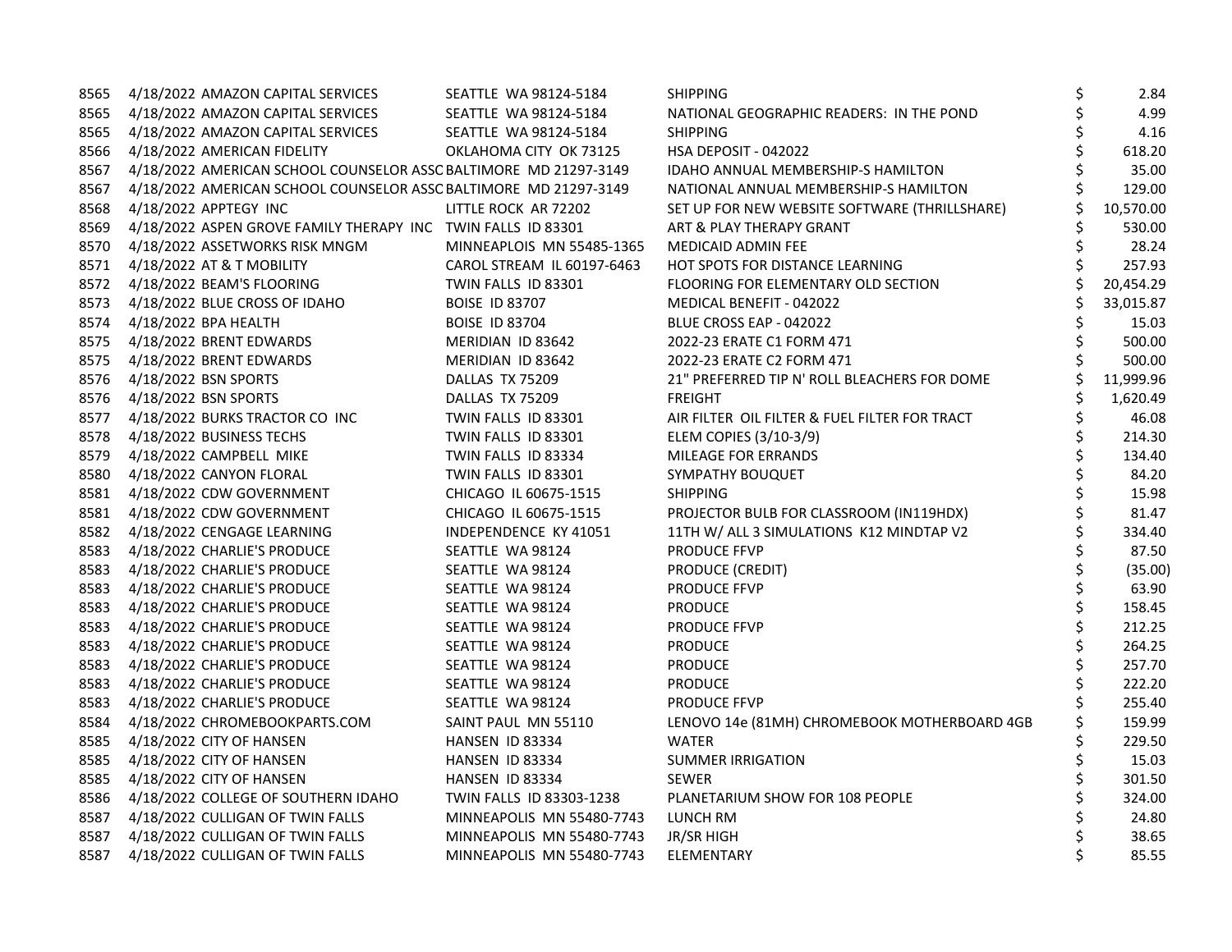| 8565 | 4/18/2022 AMAZON CAPITAL SERVICES                                | SEATTLE WA 98124-5184      | <b>SHIPPING</b>                               | \$ | 2.84      |
|------|------------------------------------------------------------------|----------------------------|-----------------------------------------------|----|-----------|
| 8565 | 4/18/2022 AMAZON CAPITAL SERVICES                                | SEATTLE WA 98124-5184      | NATIONAL GEOGRAPHIC READERS: IN THE POND      |    | 4.99      |
| 8565 | 4/18/2022 AMAZON CAPITAL SERVICES                                | SEATTLE WA 98124-5184      | <b>SHIPPING</b>                               |    | 4.16      |
| 8566 | 4/18/2022 AMERICAN FIDELITY                                      | OKLAHOMA CITY OK 73125     | <b>HSA DEPOSIT - 042022</b>                   | \$ | 618.20    |
| 8567 | 4/18/2022 AMERICAN SCHOOL COUNSELOR ASSC BALTIMORE MD 21297-3149 |                            | IDAHO ANNUAL MEMBERSHIP-S HAMILTON            | Ś  | 35.00     |
| 8567 | 4/18/2022 AMERICAN SCHOOL COUNSELOR ASSC BALTIMORE MD 21297-3149 |                            | NATIONAL ANNUAL MEMBERSHIP-S HAMILTON         |    | 129.00    |
| 8568 | 4/18/2022 APPTEGY INC                                            | LITTLE ROCK AR 72202       | SET UP FOR NEW WEBSITE SOFTWARE (THRILLSHARE) |    | 10,570.00 |
| 8569 | 4/18/2022 ASPEN GROVE FAMILY THERAPY INC TWIN FALLS ID 83301     |                            | ART & PLAY THERAPY GRANT                      |    | 530.00    |
| 8570 | 4/18/2022 ASSETWORKS RISK MNGM                                   | MINNEAPLOIS MN 55485-1365  | MEDICAID ADMIN FEE                            | \$ | 28.24     |
| 8571 | 4/18/2022 AT & T MOBILITY                                        | CAROL STREAM IL 60197-6463 | HOT SPOTS FOR DISTANCE LEARNING               | \$ | 257.93    |
| 8572 | 4/18/2022 BEAM'S FLOORING                                        | TWIN FALLS ID 83301        | FLOORING FOR ELEMENTARY OLD SECTION           | \$ | 20,454.29 |
|      | 8573 4/18/2022 BLUE CROSS OF IDAHO                               | <b>BOISE ID 83707</b>      | MEDICAL BENEFIT - 042022                      |    | 33,015.87 |
| 8574 | 4/18/2022 BPA HEALTH                                             | <b>BOISE ID 83704</b>      | BLUE CROSS EAP - 042022                       |    | 15.03     |
| 8575 | 4/18/2022 BRENT EDWARDS                                          | MERIDIAN ID 83642          | 2022-23 ERATE C1 FORM 471                     | \$ | 500.00    |
| 8575 | 4/18/2022 BRENT EDWARDS                                          | MERIDIAN ID 83642          | 2022-23 ERATE C2 FORM 471                     |    | 500.00    |
| 8576 | 4/18/2022 BSN SPORTS                                             | DALLAS TX 75209            | 21" PREFERRED TIP N' ROLL BLEACHERS FOR DOME  | \$ | 11,999.96 |
| 8576 | 4/18/2022 BSN SPORTS                                             | DALLAS TX 75209            | <b>FREIGHT</b>                                | Ś  | 1,620.49  |
|      | 8577 4/18/2022 BURKS TRACTOR CO INC                              | TWIN FALLS ID 83301        | AIR FILTER OIL FILTER & FUEL FILTER FOR TRACT |    | 46.08     |
| 8578 | 4/18/2022 BUSINESS TECHS                                         | TWIN FALLS ID 83301        | ELEM COPIES (3/10-3/9)                        | \$ | 214.30    |
| 8579 | 4/18/2022 CAMPBELL MIKE                                          | TWIN FALLS ID 83334        | <b>MILEAGE FOR ERRANDS</b>                    | \$ | 134.40    |
| 8580 | 4/18/2022 CANYON FLORAL                                          | TWIN FALLS ID 83301        | SYMPATHY BOUQUET                              | \$ | 84.20     |
| 8581 | 4/18/2022 CDW GOVERNMENT                                         | CHICAGO IL 60675-1515      | <b>SHIPPING</b>                               | \$ | 15.98     |
| 8581 | 4/18/2022 CDW GOVERNMENT                                         | CHICAGO IL 60675-1515      | PROJECTOR BULB FOR CLASSROOM (IN119HDX)       | \$ | 81.47     |
|      | 8582 4/18/2022 CENGAGE LEARNING                                  | INDEPENDENCE KY 41051      | 11TH W/ ALL 3 SIMULATIONS K12 MINDTAP V2      |    | 334.40    |
| 8583 | 4/18/2022 CHARLIE'S PRODUCE                                      | SEATTLE WA 98124           | <b>PRODUCE FFVP</b>                           |    | 87.50     |
| 8583 | 4/18/2022 CHARLIE'S PRODUCE                                      | SEATTLE WA 98124           | PRODUCE (CREDIT)                              | \$ | (35.00)   |
| 8583 | 4/18/2022 CHARLIE'S PRODUCE                                      | SEATTLE WA 98124           | <b>PRODUCE FFVP</b>                           | \$ | 63.90     |
| 8583 | 4/18/2022 CHARLIE'S PRODUCE                                      | SEATTLE WA 98124           | <b>PRODUCE</b>                                | \$ | 158.45    |
| 8583 | 4/18/2022 CHARLIE'S PRODUCE                                      | SEATTLE WA 98124           | <b>PRODUCE FFVP</b>                           | \$ | 212.25    |
| 8583 | 4/18/2022 CHARLIE'S PRODUCE                                      | SEATTLE WA 98124           | <b>PRODUCE</b>                                |    | 264.25    |
| 8583 | 4/18/2022 CHARLIE'S PRODUCE                                      | SEATTLE WA 98124           | <b>PRODUCE</b>                                | \$ | 257.70    |
| 8583 | 4/18/2022 CHARLIE'S PRODUCE                                      | SEATTLE WA 98124           | <b>PRODUCE</b>                                | \$ | 222.20    |
| 8583 | 4/18/2022 CHARLIE'S PRODUCE                                      | SEATTLE WA 98124           | <b>PRODUCE FFVP</b>                           |    | 255.40    |
| 8584 | 4/18/2022 CHROMEBOOKPARTS.COM                                    | SAINT PAUL MN 55110        | LENOVO 14e (81MH) CHROMEBOOK MOTHERBOARD 4GB  | \$ | 159.99    |
| 8585 | 4/18/2022 CITY OF HANSEN                                         | HANSEN ID 83334            | <b>WATER</b>                                  | \$ | 229.50    |
| 8585 | 4/18/2022 CITY OF HANSEN                                         | HANSEN ID 83334            | <b>SUMMER IRRIGATION</b>                      |    | 15.03     |
| 8585 | 4/18/2022 CITY OF HANSEN                                         | HANSEN ID 83334            | <b>SEWER</b>                                  |    | 301.50    |
| 8586 | 4/18/2022 COLLEGE OF SOUTHERN IDAHO                              | TWIN FALLS ID 83303-1238   | PLANETARIUM SHOW FOR 108 PEOPLE               | \$ | 324.00    |
| 8587 | 4/18/2022 CULLIGAN OF TWIN FALLS                                 | MINNEAPOLIS MN 55480-7743  | LUNCH RM                                      |    | 24.80     |
| 8587 | 4/18/2022 CULLIGAN OF TWIN FALLS                                 | MINNEAPOLIS MN 55480-7743  | JR/SR HIGH                                    |    | 38.65     |
| 8587 | 4/18/2022 CULLIGAN OF TWIN FALLS                                 | MINNEAPOLIS MN 55480-7743  | ELEMENTARY                                    | \$ | 85.55     |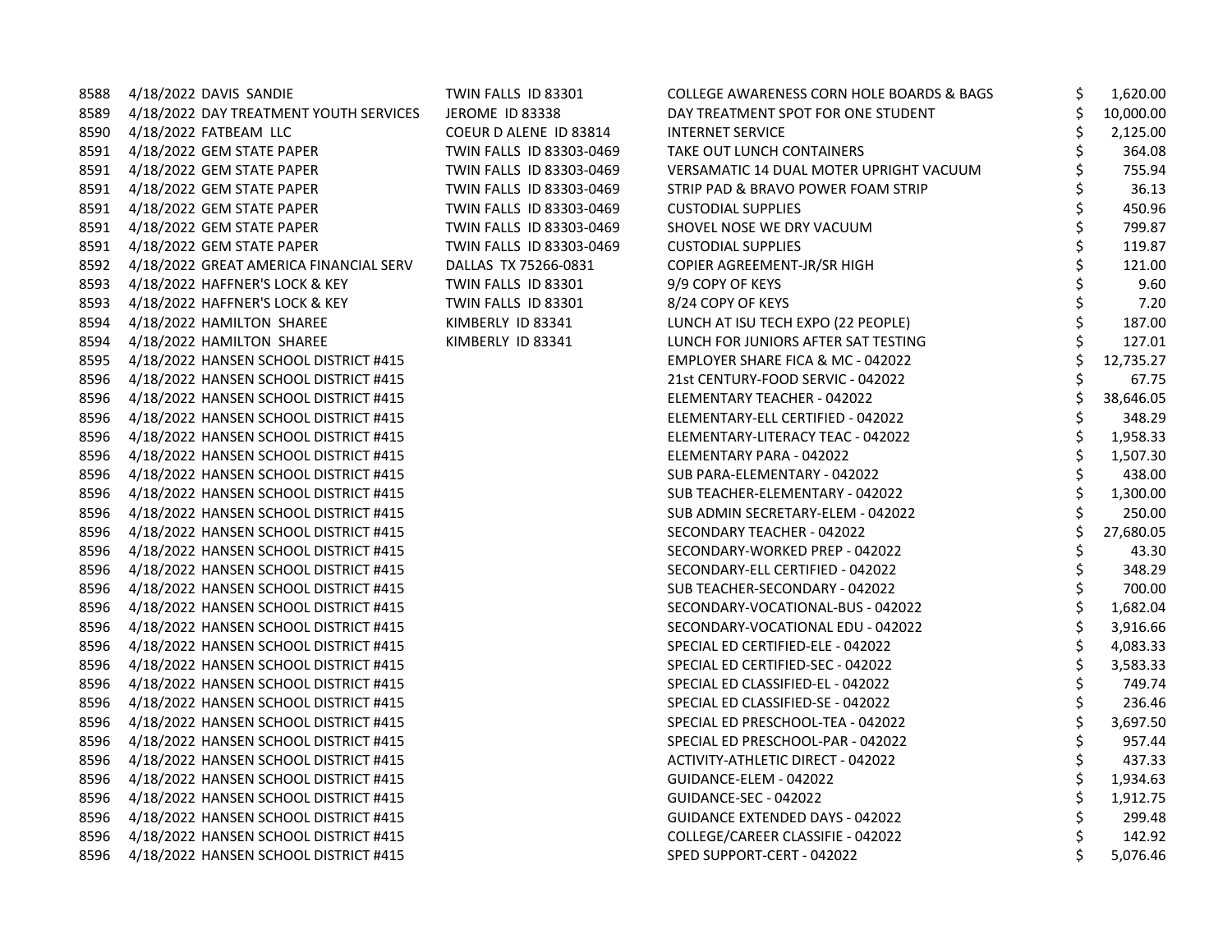| 8588 | 4/18/2022 DAVIS SANDIE                 | TWIN FALLS ID 83301      | COLLEGE AWARENESS CORN HOLE BOARDS & BAGS | \$<br>1,620.00  |
|------|----------------------------------------|--------------------------|-------------------------------------------|-----------------|
| 8589 | 4/18/2022 DAY TREATMENT YOUTH SERVICES | <b>JEROME ID 83338</b>   | DAY TREATMENT SPOT FOR ONE STUDENT        | 10,000.00       |
| 8590 | 4/18/2022 FATBEAM LLC                  | COEUR D ALENE ID 83814   | <b>INTERNET SERVICE</b>                   | 2,125.00        |
| 8591 | 4/18/2022 GEM STATE PAPER              | TWIN FALLS ID 83303-0469 | TAKE OUT LUNCH CONTAINERS                 | \$<br>364.08    |
| 8591 | 4/18/2022 GEM STATE PAPER              | TWIN FALLS ID 83303-0469 | VERSAMATIC 14 DUAL MOTER UPRIGHT VACUUM   | 755.94          |
| 8591 | 4/18/2022 GEM STATE PAPER              | TWIN FALLS ID 83303-0469 | STRIP PAD & BRAVO POWER FOAM STRIP        | \$<br>36.13     |
| 8591 | 4/18/2022 GEM STATE PAPER              | TWIN FALLS ID 83303-0469 | <b>CUSTODIAL SUPPLIES</b>                 | \$<br>450.96    |
| 8591 | 4/18/2022 GEM STATE PAPER              | TWIN FALLS ID 83303-0469 | SHOVEL NOSE WE DRY VACUUM                 | 799.87          |
| 8591 | 4/18/2022 GEM STATE PAPER              | TWIN FALLS ID 83303-0469 | <b>CUSTODIAL SUPPLIES</b>                 | \$<br>119.87    |
| 8592 | 4/18/2022 GREAT AMERICA FINANCIAL SERV | DALLAS TX 75266-0831     | COPIER AGREEMENT-JR/SR HIGH               | \$<br>121.00    |
| 8593 | 4/18/2022 HAFFNER'S LOCK & KEY         | TWIN FALLS ID 83301      | 9/9 COPY OF KEYS                          | 9.60            |
| 8593 | 4/18/2022 HAFFNER'S LOCK & KEY         | TWIN FALLS ID 83301      | 8/24 COPY OF KEYS                         | 7.20            |
| 8594 | 4/18/2022 HAMILTON SHAREE              | KIMBERLY ID 83341        | LUNCH AT ISU TECH EXPO (22 PEOPLE)        | 187.00          |
| 8594 | 4/18/2022 HAMILTON SHAREE              | KIMBERLY ID 83341        | LUNCH FOR JUNIORS AFTER SAT TESTING       | 127.01          |
| 8595 | 4/18/2022 HANSEN SCHOOL DISTRICT #415  |                          | EMPLOYER SHARE FICA & MC - 042022         | \$<br>12,735.27 |
| 8596 | 4/18/2022 HANSEN SCHOOL DISTRICT #415  |                          | 21st CENTURY-FOOD SERVIC - 042022         | \$<br>67.75     |
| 8596 | 4/18/2022 HANSEN SCHOOL DISTRICT #415  |                          | ELEMENTARY TEACHER - 042022               | \$<br>38,646.05 |
| 8596 | 4/18/2022 HANSEN SCHOOL DISTRICT #415  |                          | ELEMENTARY-ELL CERTIFIED - 042022         | \$<br>348.29    |
| 8596 | 4/18/2022 HANSEN SCHOOL DISTRICT #415  |                          | ELEMENTARY-LITERACY TEAC - 042022         | \$<br>1,958.33  |
| 8596 | 4/18/2022 HANSEN SCHOOL DISTRICT #415  |                          | ELEMENTARY PARA - 042022                  | \$<br>1,507.30  |
| 8596 | 4/18/2022 HANSEN SCHOOL DISTRICT #415  |                          | SUB PARA-ELEMENTARY - 042022              | \$<br>438.00    |
| 8596 | 4/18/2022 HANSEN SCHOOL DISTRICT #415  |                          | SUB TEACHER-ELEMENTARY - 042022           | 1,300.00        |
| 8596 | 4/18/2022 HANSEN SCHOOL DISTRICT #415  |                          | SUB ADMIN SECRETARY-ELEM - 042022         | 250.00          |
| 8596 | 4/18/2022 HANSEN SCHOOL DISTRICT #415  |                          | SECONDARY TEACHER - 042022                | 27,680.05       |
| 8596 | 4/18/2022 HANSEN SCHOOL DISTRICT #415  |                          | SECONDARY-WORKED PREP - 042022            | \$<br>43.30     |
| 8596 | 4/18/2022 HANSEN SCHOOL DISTRICT #415  |                          | SECONDARY-ELL CERTIFIED - 042022          | \$<br>348.29    |
| 8596 | 4/18/2022 HANSEN SCHOOL DISTRICT #415  |                          | SUB TEACHER-SECONDARY - 042022            | \$<br>700.00    |
| 8596 | 4/18/2022 HANSEN SCHOOL DISTRICT #415  |                          | SECONDARY-VOCATIONAL-BUS - 042022         | 1,682.04        |
| 8596 | 4/18/2022 HANSEN SCHOOL DISTRICT #415  |                          | SECONDARY-VOCATIONAL EDU - 042022         | \$<br>3,916.66  |
| 8596 | 4/18/2022 HANSEN SCHOOL DISTRICT #415  |                          | SPECIAL ED CERTIFIED-ELE - 042022         | \$<br>4,083.33  |
| 8596 | 4/18/2022 HANSEN SCHOOL DISTRICT #415  |                          | SPECIAL ED CERTIFIED-SEC - 042022         | \$<br>3,583.33  |
| 8596 | 4/18/2022 HANSEN SCHOOL DISTRICT #415  |                          | SPECIAL ED CLASSIFIED-EL - 042022         | \$<br>749.74    |
| 8596 | 4/18/2022 HANSEN SCHOOL DISTRICT #415  |                          | SPECIAL ED CLASSIFIED-SE - 042022         | \$<br>236.46    |
| 8596 | 4/18/2022 HANSEN SCHOOL DISTRICT #415  |                          | SPECIAL ED PRESCHOOL-TEA - 042022         | 3,697.50        |
| 8596 | 4/18/2022 HANSEN SCHOOL DISTRICT #415  |                          | SPECIAL ED PRESCHOOL-PAR - 042022         | \$<br>957.44    |
| 8596 | 4/18/2022 HANSEN SCHOOL DISTRICT #415  |                          | ACTIVITY-ATHLETIC DIRECT - 042022         | \$<br>437.33    |
| 8596 | 4/18/2022 HANSEN SCHOOL DISTRICT #415  |                          | GUIDANCE-ELEM - 042022                    | 1,934.63        |
| 8596 | 4/18/2022 HANSEN SCHOOL DISTRICT #415  |                          | GUIDANCE-SEC - 042022                     | \$<br>1,912.75  |
| 8596 | 4/18/2022 HANSEN SCHOOL DISTRICT #415  |                          | GUIDANCE EXTENDED DAYS - 042022           | \$<br>299.48    |
| 8596 | 4/18/2022 HANSEN SCHOOL DISTRICT #415  |                          | COLLEGE/CAREER CLASSIFIE - 042022         | 142.92          |
| 8596 | 4/18/2022 HANSEN SCHOOL DISTRICT #415  |                          | SPED SUPPORT-CERT - 042022                | 5,076.46        |
|      |                                        |                          |                                           |                 |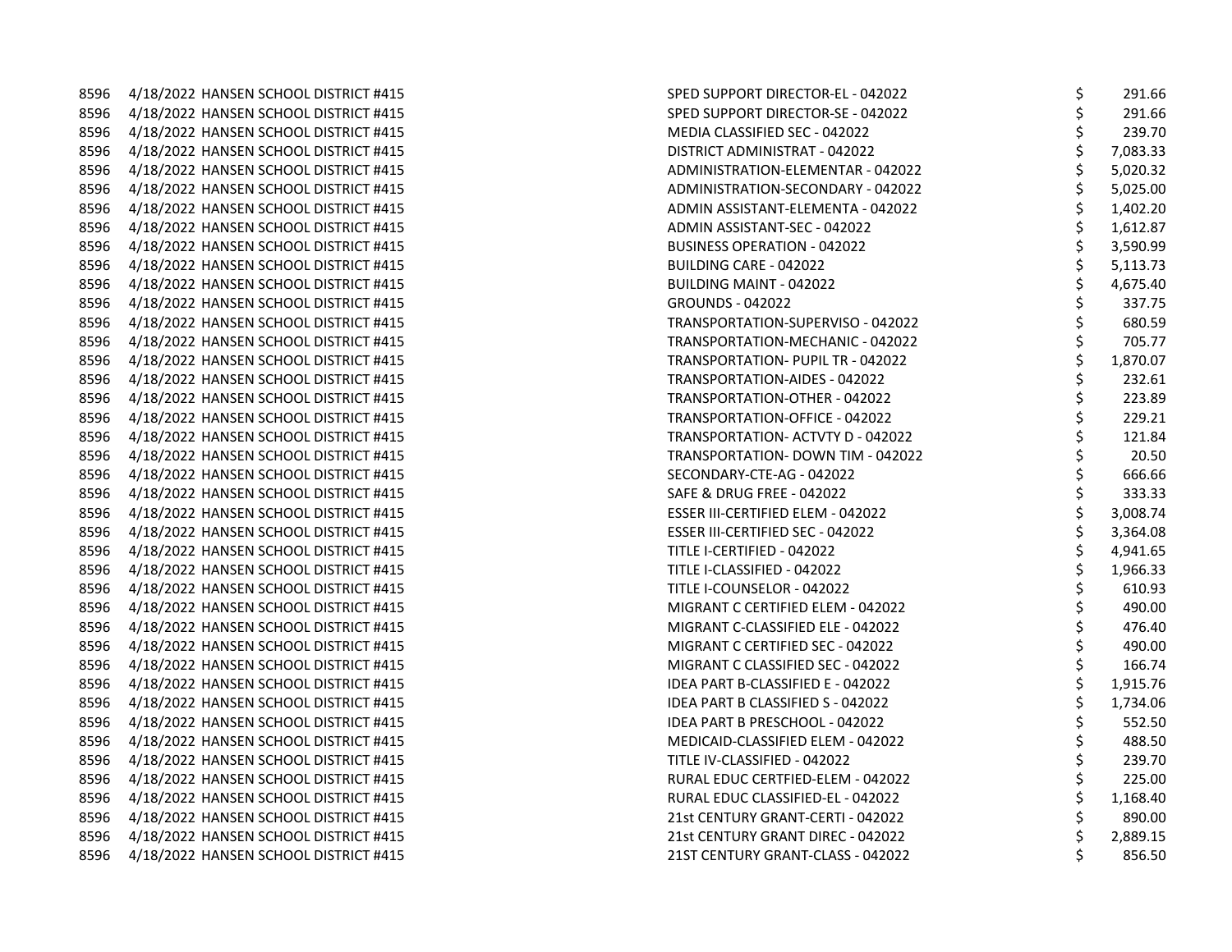8596 4/18/2022 HANSEN SCHOOL DISTRICT #415 8596 4/18/2022 HANSEN SCHOOL DISTRICT #415 8596 4/18/2022 HANSEN SCHOOL DISTRICT #415 8596 4/18/2022 HANSEN SCHOOL DISTRICT #415 8596 4/18/2022 HANSEN SCHOOL DISTRICT #415 8596 4/18/2022 HANSEN SCHOOL DISTRICT #415 8596 4/18/2022 HANSEN SCHOOL DISTRICT #415 8596 4/18/2022 HANSEN SCHOOL DISTRICT #415 8596 4/18/2022 HANSEN SCHOOL DISTRICT #415 8596 4/18/2022 HANSEN SCHOOL DISTRICT #415 8596 4/18/2022 HANSEN SCHOOL DISTRICT #415 8596 4/18/2022 HANSEN SCHOOL DISTRICT #415 8596 4/18/2022 HANSEN SCHOOL DISTRICT #415 8596 4/18/2022 HANSEN SCHOOL DISTRICT #415 8596 4/18/2022 HANSEN SCHOOL DISTRICT #415 8596 4/18/2022 HANSEN SCHOOL DISTRICT #415 8596 4/18/2022 HANSEN SCHOOL DISTRICT #415 8596 4/18/2022 HANSEN SCHOOL DISTRICT #415 8596 4/18/2022 HANSEN SCHOOL DISTRICT #415 8596 4/18/2022 HANSEN SCHOOL DISTRICT #415 8596 4/18/2022 HANSEN SCHOOL DISTRICT #415 8596 4/18/2022 HANSEN SCHOOL DISTRICT #415 8596 4/18/2022 HANSEN SCHOOL DISTRICT #415 8596 4/18/2022 HANSEN SCHOOL DISTRICT #415 8596 4/18/2022 HANSEN SCHOOL DISTRICT #415 8596 4/18/2022 HANSEN SCHOOL DISTRICT #415 8596 4/18/2022 HANSEN SCHOOL DISTRICT #415 8596 4/18/2022 HANSEN SCHOOL DISTRICT #415 8596 4/18/2022 HANSEN SCHOOL DISTRICT #415 8596 4/18/2022 HANSEN SCHOOL DISTRICT #415 8596 4/18/2022 HANSEN SCHOOL DISTRICT #415 8596 4/18/2022 HANSEN SCHOOL DISTRICT #415 8596 4/18/2022 HANSEN SCHOOL DISTRICT #415 8596 4/18/2022 HANSEN SCHOOL DISTRICT #415 8596 4/18/2022 HANSEN SCHOOL DISTRICT #415 8596 4/18/2022 HANSEN SCHOOL DISTRICT #415 8596 4/18/2022 HANSEN SCHOOL DISTRICT #415 8596 4/18/2022 HANSEN SCHOOL DISTRICT #415 8596 4/18/2022 HANSEN SCHOOL DISTRICT #415 8596 4/18/2022 HANSEN SCHOOL DISTRICT #415 8596 4/18/2022 HANSEN SCHOOL DISTRICT #415

|                                          | \$            | 291.66   |
|------------------------------------------|---------------|----------|
| SPED SUPPORT DIRECTOR-SE - 042022        |               | 291.66   |
| MEDIA CLASSIFIED SEC - 042022            | ややややややややややややや | 239.70   |
| DISTRICT ADMINISTRAT - 042022            |               | 7,083.33 |
| <b>ADMINISTRATION-ELEMENTAR - 042022</b> |               | 5,020.32 |
| ADMINISTRATION-SECONDARY - 042022        |               | 5,025.00 |
| ADMIN ASSISTANT-ELEMENTA - 042022        |               | 1,402.20 |
| ADMIN ASSISTANT-SEC - 042022             |               | 1,612.87 |
| <b>BUSINESS OPERATION - 042022</b>       |               | 3,590.99 |
| BUILDING CARE - 042022                   |               | 5,113.73 |
| <b>BUILDING MAINT - 042022</b>           |               | 4,675.40 |
| <b>GROUNDS - 042022</b>                  |               | 337.75   |
| TRANSPORTATION-SUPERVISO - 042022        |               | 680.59   |
| TRANSPORTATION-MECHANIC - 042022         |               | 705.77   |
| TRANSPORTATION- PUPIL TR - 042022        |               | 1,870.07 |
| <b>TRANSPORTATION-AIDES - 042022</b>     | \$            | 232.61   |
| TRANSPORTATION-OTHER - 042022            | ややや やや        | 223.89   |
| TRANSPORTATION-OFFICE - 042022           |               | 229.21   |
| TRANSPORTATION- ACTVTY D - 042022        |               | 121.84   |
| TRANSPORTATION- DOWN TIM - 042022        |               | 20.50    |
| SECONDARY-CTE-AG - 042022                |               | 666.66   |
| <b>SAFE &amp; DRUG FREE - 042022</b>     |               | 333.33   |
| <b>ESSER III-CERTIFIED ELEM - 042022</b> | \$ \$ \$ \$   | 3,008.74 |
| ESSER III-CERTIFIED SEC - 042022         |               | 3,364.08 |
| TITLE I-CERTIFIED - 042022               |               | 4,941.65 |
| TITLE I-CLASSIFIED - 042022              |               | 1,966.33 |
| TITLE I-COUNSELOR - 042022               |               | 610.93   |
| MIGRANT C CERTIFIED ELEM - 042022        |               | 490.00   |
| MIGRANT C-CLASSIFIED ELE - 042022        |               | 476.40   |
| MIGRANT C CERTIFIED SEC - 042022         | ぐぐろ ぐぐろ かいかん  | 490.00   |
| MIGRANT C CLASSIFIED SEC - 042022        |               | 166.74   |
| IDEA PART B-CLASSIFIED E - 042022        |               | 1,915.76 |
| <b>IDEA PART B CLASSIFIED S - 042022</b> |               | 1,734.06 |
| <b>IDEA PART B PRESCHOOL - 042022</b>    |               | 552.50   |
| MEDICAID-CLASSIFIED ELEM - 042022        |               | 488.50   |
| TITLE IV-CLASSIFIED - 042022             |               | 239.70   |
| RURAL EDUC CERTFIED-ELEM - 042022        |               | 225.00   |
| RURAL EDUC CLASSIFIED-EL - 042022        |               | 1,168.40 |
| 21st CENTURY GRANT-CERTI - 042022        | \$            | 890.00   |
| 21st CENTURY GRANT DIREC - 042022        | \$            | 2,889.15 |
| 21ST CENTURY GRANT-CLASS - 042022        | \$            | 856.50   |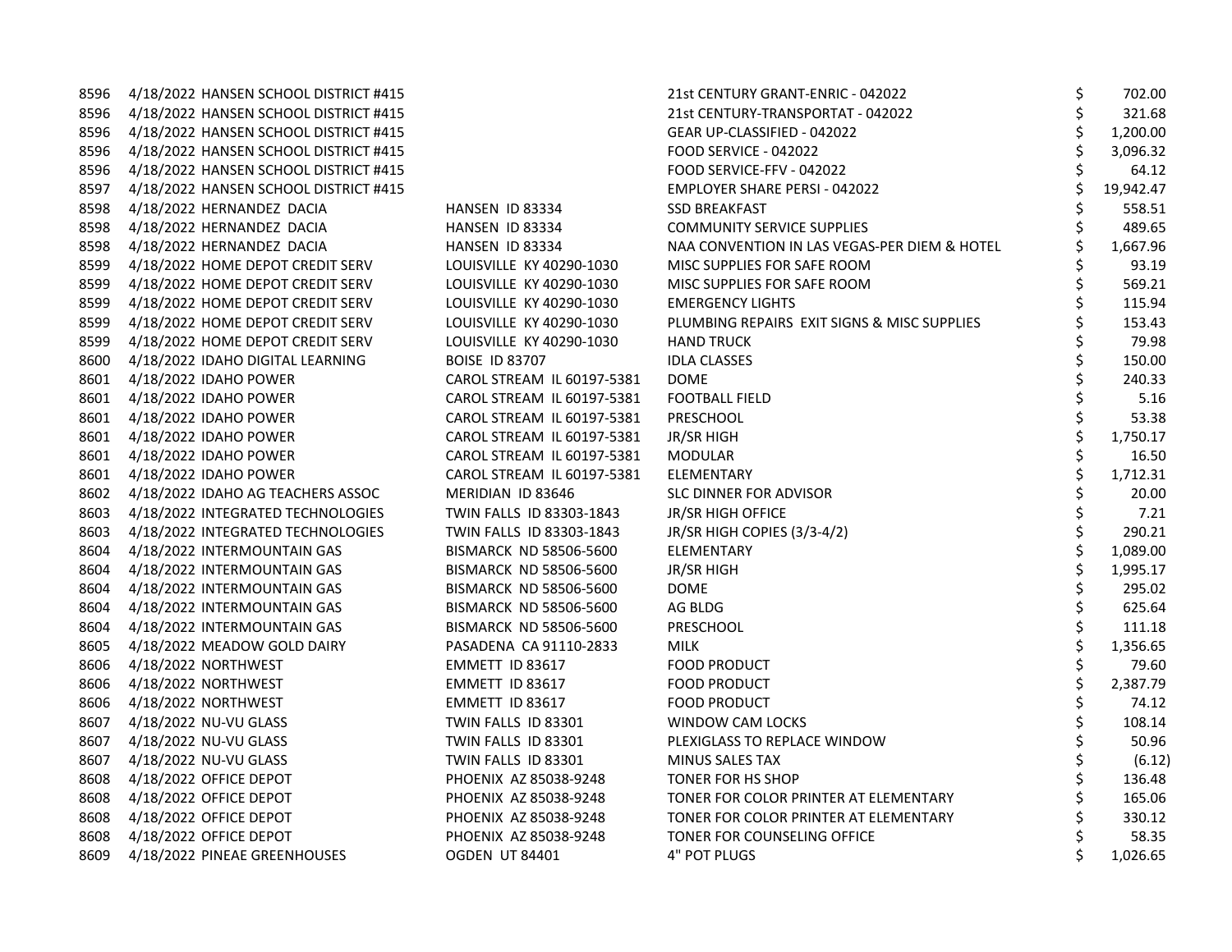| 8596 | 4/18/2022 HANSEN SCHOOL DISTRICT #415 |                            | 21st CENTURY GRANT-ENRIC - 042022            | \$ | 702.00    |
|------|---------------------------------------|----------------------------|----------------------------------------------|----|-----------|
| 8596 | 4/18/2022 HANSEN SCHOOL DISTRICT #415 |                            | 21st CENTURY-TRANSPORTAT - 042022            | \$ | 321.68    |
| 8596 | 4/18/2022 HANSEN SCHOOL DISTRICT #415 |                            | GEAR UP-CLASSIFIED - 042022                  |    | 1,200.00  |
| 8596 | 4/18/2022 HANSEN SCHOOL DISTRICT #415 |                            | FOOD SERVICE - 042022                        | Ś  | 3,096.32  |
| 8596 | 4/18/2022 HANSEN SCHOOL DISTRICT #415 |                            | FOOD SERVICE-FFV - 042022                    | \$ | 64.12     |
| 8597 | 4/18/2022 HANSEN SCHOOL DISTRICT #415 |                            | <b>EMPLOYER SHARE PERSI - 042022</b>         | \$ | 19,942.47 |
| 8598 | 4/18/2022 HERNANDEZ DACIA             | HANSEN ID 83334            | <b>SSD BREAKFAST</b>                         |    | 558.51    |
| 8598 | 4/18/2022 HERNANDEZ DACIA             | HANSEN ID 83334            | <b>COMMUNITY SERVICE SUPPLIES</b>            |    | 489.65    |
| 8598 | 4/18/2022 HERNANDEZ DACIA             | HANSEN ID 83334            | NAA CONVENTION IN LAS VEGAS-PER DIEM & HOTEL |    | 1,667.96  |
| 8599 | 4/18/2022 HOME DEPOT CREDIT SERV      | LOUISVILLE KY 40290-1030   | MISC SUPPLIES FOR SAFE ROOM                  |    | 93.19     |
| 8599 | 4/18/2022 HOME DEPOT CREDIT SERV      | LOUISVILLE KY 40290-1030   | MISC SUPPLIES FOR SAFE ROOM                  | \$ | 569.21    |
| 8599 | 4/18/2022 HOME DEPOT CREDIT SERV      | LOUISVILLE KY 40290-1030   | <b>EMERGENCY LIGHTS</b>                      |    | 115.94    |
| 8599 | 4/18/2022 HOME DEPOT CREDIT SERV      | LOUISVILLE KY 40290-1030   | PLUMBING REPAIRS EXIT SIGNS & MISC SUPPLIES  |    | 153.43    |
| 8599 | 4/18/2022 HOME DEPOT CREDIT SERV      | LOUISVILLE KY 40290-1030   | <b>HAND TRUCK</b>                            |    | 79.98     |
| 8600 | 4/18/2022 IDAHO DIGITAL LEARNING      | <b>BOISE ID 83707</b>      | <b>IDLA CLASSES</b>                          |    | 150.00    |
| 8601 | 4/18/2022 IDAHO POWER                 | CAROL STREAM IL 60197-5381 | <b>DOME</b>                                  |    | 240.33    |
| 8601 | 4/18/2022 IDAHO POWER                 | CAROL STREAM IL 60197-5381 | <b>FOOTBALL FIELD</b>                        | \$ | 5.16      |
|      | 8601 4/18/2022 IDAHO POWER            | CAROL STREAM IL 60197-5381 | PRESCHOOL                                    | \$ | 53.38     |
|      | 8601 4/18/2022 IDAHO POWER            | CAROL STREAM IL 60197-5381 | JR/SR HIGH                                   | \$ | 1,750.17  |
| 8601 | 4/18/2022 IDAHO POWER                 | CAROL STREAM IL 60197-5381 | <b>MODULAR</b>                               | \$ | 16.50     |
| 8601 | 4/18/2022 IDAHO POWER                 | CAROL STREAM IL 60197-5381 | ELEMENTARY                                   | \$ | 1,712.31  |
| 8602 | 4/18/2022 IDAHO AG TEACHERS ASSOC     | MERIDIAN ID 83646          | <b>SLC DINNER FOR ADVISOR</b>                | \$ | 20.00     |
| 8603 | 4/18/2022 INTEGRATED TECHNOLOGIES     | TWIN FALLS ID 83303-1843   | JR/SR HIGH OFFICE                            | \$ | 7.21      |
| 8603 | 4/18/2022 INTEGRATED TECHNOLOGIES     | TWIN FALLS ID 83303-1843   | JR/SR HIGH COPIES (3/3-4/2)                  | \$ | 290.21    |
| 8604 | 4/18/2022 INTERMOUNTAIN GAS           | BISMARCK ND 58506-5600     | ELEMENTARY                                   |    | 1,089.00  |
| 8604 | 4/18/2022 INTERMOUNTAIN GAS           | BISMARCK ND 58506-5600     | JR/SR HIGH                                   |    | 1,995.17  |
| 8604 | 4/18/2022 INTERMOUNTAIN GAS           | BISMARCK ND 58506-5600     | <b>DOME</b>                                  | \$ | 295.02    |
| 8604 | 4/18/2022 INTERMOUNTAIN GAS           | BISMARCK ND 58506-5600     | AG BLDG                                      | \$ | 625.64    |
| 8604 | 4/18/2022 INTERMOUNTAIN GAS           | BISMARCK ND 58506-5600     | PRESCHOOL                                    | \$ | 111.18    |
| 8605 | 4/18/2022 MEADOW GOLD DAIRY           | PASADENA CA 91110-2833     | <b>MILK</b>                                  | \$ | 1,356.65  |
| 8606 | 4/18/2022 NORTHWEST                   | EMMETT ID 83617            | <b>FOOD PRODUCT</b>                          | \$ | 79.60     |
| 8606 | 4/18/2022 NORTHWEST                   | EMMETT ID 83617            | <b>FOOD PRODUCT</b>                          | \$ | 2,387.79  |
| 8606 | 4/18/2022 NORTHWEST                   | EMMETT ID 83617            | <b>FOOD PRODUCT</b>                          | \$ | 74.12     |
| 8607 | 4/18/2022 NU-VU GLASS                 | TWIN FALLS ID 83301        | WINDOW CAM LOCKS                             | \$ | 108.14    |
| 8607 | 4/18/2022 NU-VU GLASS                 | TWIN FALLS ID 83301        | PLEXIGLASS TO REPLACE WINDOW                 | \$ | 50.96     |
| 8607 | 4/18/2022 NU-VU GLASS                 | TWIN FALLS ID 83301        | MINUS SALES TAX                              |    | (6.12)    |
| 8608 | 4/18/2022 OFFICE DEPOT                | PHOENIX AZ 85038-9248      | TONER FOR HS SHOP                            |    | 136.48    |
| 8608 | 4/18/2022 OFFICE DEPOT                | PHOENIX AZ 85038-9248      | TONER FOR COLOR PRINTER AT ELEMENTARY        | \$ | 165.06    |
| 8608 | 4/18/2022 OFFICE DEPOT                | PHOENIX AZ 85038-9248      | TONER FOR COLOR PRINTER AT ELEMENTARY        |    | 330.12    |
| 8608 | 4/18/2022 OFFICE DEPOT                | PHOENIX AZ 85038-9248      | TONER FOR COUNSELING OFFICE                  | Ś  | 58.35     |
| 8609 | 4/18/2022 PINEAE GREENHOUSES          | <b>OGDEN UT 84401</b>      | 4" POT PLUGS                                 | \$ | 1,026.65  |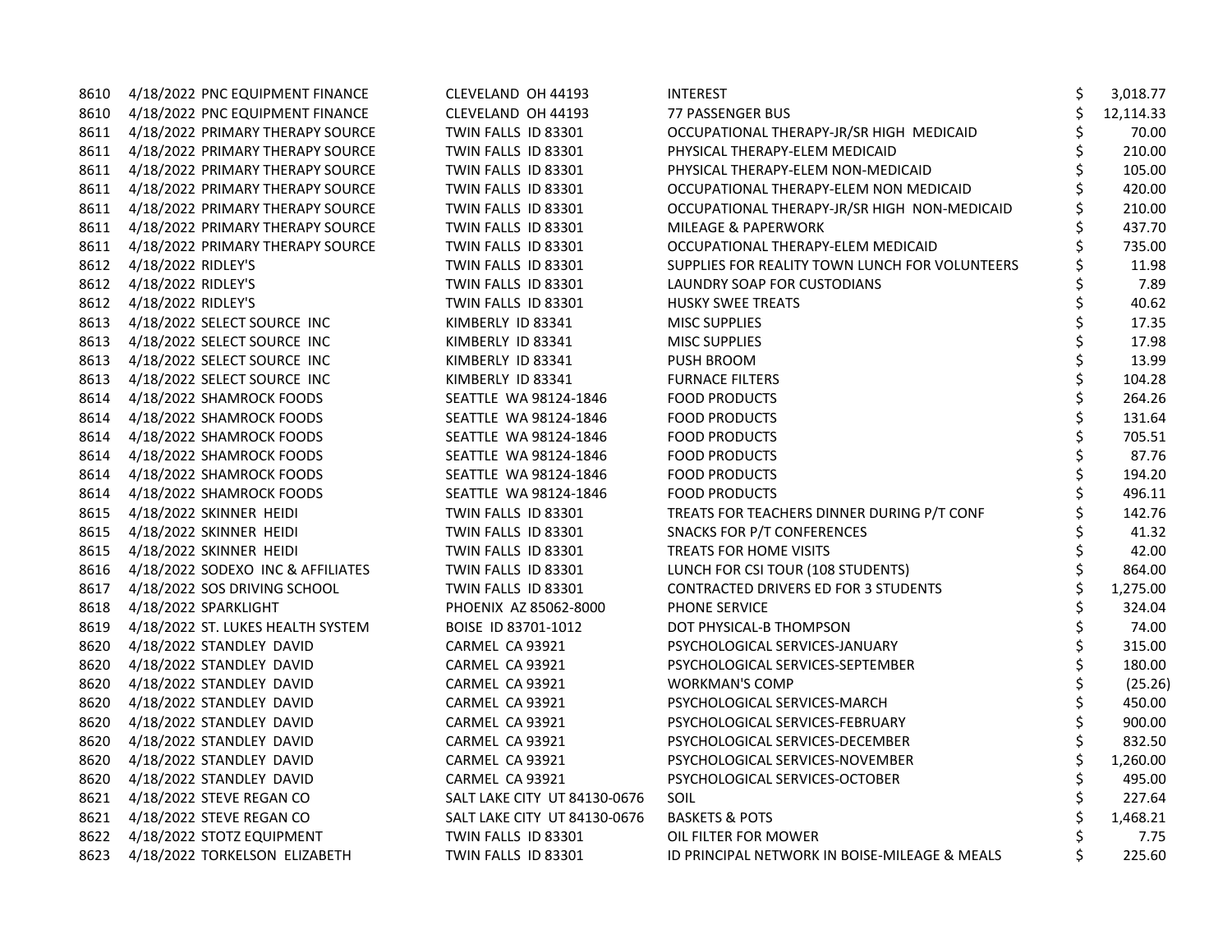|      | 8610 4/18/2022 PNC EQUIPMENT FINANCE  | CLEVELAND OH 44193           | <b>INTEREST</b>                                | \$<br>3,018.77  |
|------|---------------------------------------|------------------------------|------------------------------------------------|-----------------|
|      | 8610 4/18/2022 PNC EQUIPMENT FINANCE  | CLEVELAND OH 44193           | 77 PASSENGER BUS                               | \$<br>12,114.33 |
| 8611 | 4/18/2022 PRIMARY THERAPY SOURCE      | TWIN FALLS ID 83301          | OCCUPATIONAL THERAPY-JR/SR HIGH MEDICAID       | \$<br>70.00     |
| 8611 | 4/18/2022 PRIMARY THERAPY SOURCE      | TWIN FALLS ID 83301          | PHYSICAL THERAPY-ELEM MEDICAID                 | \$<br>210.00    |
| 8611 | 4/18/2022 PRIMARY THERAPY SOURCE      | TWIN FALLS ID 83301          | PHYSICAL THERAPY-ELEM NON-MEDICAID             | \$<br>105.00    |
| 8611 | 4/18/2022 PRIMARY THERAPY SOURCE      | TWIN FALLS ID 83301          | OCCUPATIONAL THERAPY-ELEM NON MEDICAID         | \$<br>420.00    |
|      | 8611 4/18/2022 PRIMARY THERAPY SOURCE | TWIN FALLS ID 83301          | OCCUPATIONAL THERAPY-JR/SR HIGH NON-MEDICAID   | 210.00          |
|      | 8611 4/18/2022 PRIMARY THERAPY SOURCE | TWIN FALLS ID 83301          | <b>MILEAGE &amp; PAPERWORK</b>                 | \$<br>437.70    |
| 8611 | 4/18/2022 PRIMARY THERAPY SOURCE      | TWIN FALLS ID 83301          | OCCUPATIONAL THERAPY-ELEM MEDICAID             | \$<br>735.00    |
| 8612 | 4/18/2022 RIDLEY'S                    | TWIN FALLS ID 83301          | SUPPLIES FOR REALITY TOWN LUNCH FOR VOLUNTEERS | \$<br>11.98     |
| 8612 | 4/18/2022 RIDLEY'S                    | TWIN FALLS ID 83301          | LAUNDRY SOAP FOR CUSTODIANS                    | \$<br>7.89      |
| 8612 | 4/18/2022 RIDLEY'S                    | TWIN FALLS ID 83301          | <b>HUSKY SWEE TREATS</b>                       | \$<br>40.62     |
|      | 8613 4/18/2022 SELECT SOURCE INC      | KIMBERLY ID 83341            | <b>MISC SUPPLIES</b>                           | \$<br>17.35     |
| 8613 | 4/18/2022 SELECT SOURCE INC           | KIMBERLY ID 83341            | <b>MISC SUPPLIES</b>                           | \$<br>17.98     |
| 8613 | 4/18/2022 SELECT SOURCE INC           | KIMBERLY ID 83341            | <b>PUSH BROOM</b>                              | \$<br>13.99     |
| 8613 | 4/18/2022 SELECT SOURCE INC           | KIMBERLY ID 83341            | <b>FURNACE FILTERS</b>                         | \$<br>104.28    |
| 8614 | 4/18/2022 SHAMROCK FOODS              | SEATTLE WA 98124-1846        | <b>FOOD PRODUCTS</b>                           | \$<br>264.26    |
| 8614 | 4/18/2022 SHAMROCK FOODS              | SEATTLE WA 98124-1846        | <b>FOOD PRODUCTS</b>                           | \$<br>131.64    |
|      | 8614 4/18/2022 SHAMROCK FOODS         | SEATTLE WA 98124-1846        | <b>FOOD PRODUCTS</b>                           | \$<br>705.51    |
| 8614 | 4/18/2022 SHAMROCK FOODS              | SEATTLE WA 98124-1846        | <b>FOOD PRODUCTS</b>                           | \$<br>87.76     |
| 8614 | 4/18/2022 SHAMROCK FOODS              | SEATTLE WA 98124-1846        | <b>FOOD PRODUCTS</b>                           | \$<br>194.20    |
| 8614 | 4/18/2022 SHAMROCK FOODS              | SEATTLE WA 98124-1846        | <b>FOOD PRODUCTS</b>                           | \$<br>496.11    |
| 8615 | 4/18/2022 SKINNER HEIDI               | TWIN FALLS ID 83301          | TREATS FOR TEACHERS DINNER DURING P/T CONF     | \$<br>142.76    |
| 8615 | 4/18/2022 SKINNER HEIDI               | TWIN FALLS ID 83301          | SNACKS FOR P/T CONFERENCES                     | \$<br>41.32     |
| 8615 | 4/18/2022 SKINNER HEIDI               | TWIN FALLS ID 83301          | TREATS FOR HOME VISITS                         | 42.00           |
| 8616 | 4/18/2022 SODEXO INC & AFFILIATES     | TWIN FALLS ID 83301          | LUNCH FOR CSI TOUR (108 STUDENTS)              | \$<br>864.00    |
| 8617 | 4/18/2022 SOS DRIVING SCHOOL          | TWIN FALLS ID 83301          | CONTRACTED DRIVERS ED FOR 3 STUDENTS           | \$<br>1,275.00  |
| 8618 | 4/18/2022 SPARKLIGHT                  | PHOENIX AZ 85062-8000        | PHONE SERVICE                                  | \$<br>324.04    |
| 8619 | 4/18/2022 ST. LUKES HEALTH SYSTEM     | BOISE ID 83701-1012          | DOT PHYSICAL-B THOMPSON                        | \$<br>74.00     |
|      | 8620 4/18/2022 STANDLEY DAVID         | CARMEL CA 93921              | PSYCHOLOGICAL SERVICES-JANUARY                 | \$<br>315.00    |
| 8620 | 4/18/2022 STANDLEY DAVID              | CARMEL CA 93921              | PSYCHOLOGICAL SERVICES-SEPTEMBER               | \$<br>180.00    |
| 8620 | 4/18/2022 STANDLEY DAVID              | CARMEL CA 93921              | <b>WORKMAN'S COMP</b>                          | \$<br>(25.26)   |
| 8620 | 4/18/2022 STANDLEY DAVID              | CARMEL CA 93921              | PSYCHOLOGICAL SERVICES-MARCH                   | \$<br>450.00    |
| 8620 | 4/18/2022 STANDLEY DAVID              | CARMEL CA 93921              | PSYCHOLOGICAL SERVICES-FEBRUARY                | \$<br>900.00    |
| 8620 | 4/18/2022 STANDLEY DAVID              | CARMEL CA 93921              | PSYCHOLOGICAL SERVICES-DECEMBER                | \$<br>832.50    |
| 8620 | 4/18/2022 STANDLEY DAVID              | CARMEL CA 93921              | PSYCHOLOGICAL SERVICES-NOVEMBER                | \$<br>1,260.00  |
| 8620 | 4/18/2022 STANDLEY DAVID              | CARMEL CA 93921              | PSYCHOLOGICAL SERVICES-OCTOBER                 | \$<br>495.00    |
| 8621 | 4/18/2022 STEVE REGAN CO              | SALT LAKE CITY UT 84130-0676 | SOIL                                           | \$<br>227.64    |
| 8621 | 4/18/2022 STEVE REGAN CO              | SALT LAKE CITY UT 84130-0676 | <b>BASKETS &amp; POTS</b>                      | 1,468.21        |
|      | 8622 4/18/2022 STOTZ EQUIPMENT        | TWIN FALLS ID 83301          | OIL FILTER FOR MOWER                           | \$<br>7.75      |
|      | 8623 4/18/2022 TORKELSON ELIZABETH    | TWIN FALLS ID 83301          | ID PRINCIPAL NETWORK IN BOISE-MILEAGE & MEALS  | \$<br>225.60    |